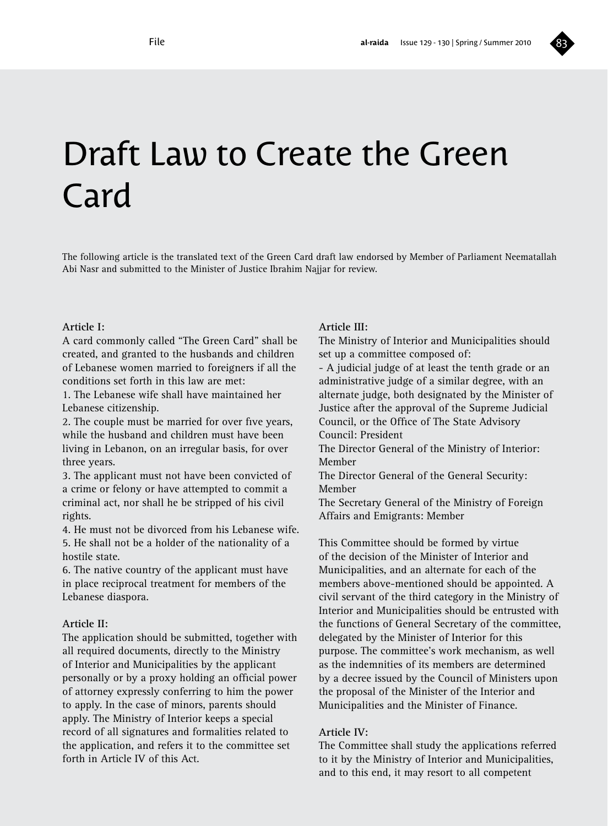

# Draft Law to Create the Green Card

The following article is the translated text of the Green Card draft law endorsed by Member of Parliament Neematallah Abi Nasr and submitted to the Minister of Justice Ibrahim Najjar for review.

#### **Article I:**

A card commonly called "The Green Card" shall be created, and granted to the husbands and children of Lebanese women married to foreigners if all the conditions set forth in this law are met:

1. The Lebanese wife shall have maintained her Lebanese citizenship.

2. The couple must be married for over five years, while the husband and children must have been living in Lebanon, on an irregular basis, for over three years.

3. The applicant must not have been convicted of a crime or felony or have attempted to commit a criminal act, nor shall he be stripped of his civil rights.

4. He must not be divorced from his Lebanese wife. 5. He shall not be a holder of the nationality of a hostile state.

6. The native country of the applicant must have in place reciprocal treatment for members of the Lebanese diaspora.

#### **Article II:**

The application should be submitted, together with all required documents, directly to the Ministry of Interior and Municipalities by the applicant personally or by a proxy holding an official power of attorney expressly conferring to him the power to apply. In the case of minors, parents should apply. The Ministry of Interior keeps a special record of all signatures and formalities related to the application, and refers it to the committee set forth in Article IV of this Act.

#### **Article III:**

The Ministry of Interior and Municipalities should set up a committee composed of:

- A judicial judge of at least the tenth grade or an administrative judge of a similar degree, with an alternate judge, both designated by the Minister of Justice after the approval of the Supreme Judicial Council, or the Office of The State Advisory Council: President

The Director General of the Ministry of Interior: Member

The Director General of the General Security: Member

The Secretary General of the Ministry of Foreign Affairs and Emigrants: Member

This Committee should be formed by virtue of the decision of the Minister of Interior and Municipalities, and an alternate for each of the members above-mentioned should be appointed. A civil servant of the third category in the Ministry of Interior and Municipalities should be entrusted with the functions of General Secretary of the committee, delegated by the Minister of Interior for this purpose. The committee's work mechanism, as well as the indemnities of its members are determined by a decree issued by the Council of Ministers upon the proposal of the Minister of the Interior and Municipalities and the Minister of Finance.

#### **Article IV:**

The Committee shall study the applications referred to it by the Ministry of Interior and Municipalities, and to this end, it may resort to all competent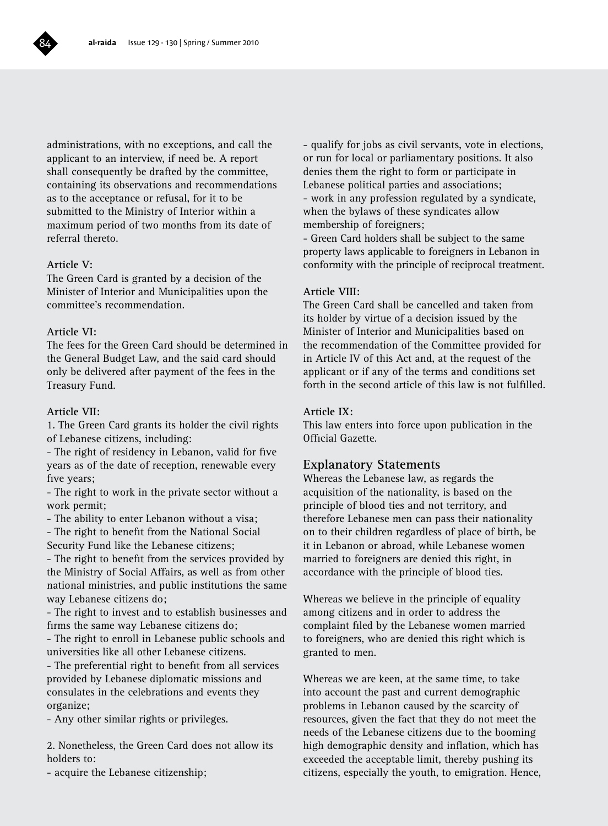

administrations, with no exceptions, and call the applicant to an interview, if need be. A report shall consequently be drafted by the committee, containing its observations and recommendations as to the acceptance or refusal, for it to be submitted to the Ministry of Interior within a maximum period of two months from its date of referral thereto.

#### **Article V:**

The Green Card is granted by a decision of the Minister of Interior and Municipalities upon the committee's recommendation.

#### **Article VI:**

The fees for the Green Card should be determined in the General Budget Law, and the said card should only be delivered after payment of the fees in the Treasury Fund.

#### **Article VII:**

1. The Green Card grants its holder the civil rights of Lebanese citizens, including:

- The right of residency in Lebanon, valid for five years as of the date of reception, renewable every five years;

- The right to work in the private sector without a work permit;

- The ability to enter Lebanon without a visa;

- The right to benefit from the National Social

Security Fund like the Lebanese citizens;

- The right to benefit from the services provided by the Ministry of Social Affairs, as well as from other national ministries, and public institutions the same way Lebanese citizens do;

- The right to invest and to establish businesses and firms the same way Lebanese citizens do;

- The right to enroll in Lebanese public schools and universities like all other Lebanese citizens.

- The preferential right to benefit from all services provided by Lebanese diplomatic missions and consulates in the celebrations and events they organize;

- Any other similar rights or privileges.

2. Nonetheless, the Green Card does not allow its holders to:

- acquire the Lebanese citizenship;

- qualify for jobs as civil servants, vote in elections, or run for local or parliamentary positions. It also denies them the right to form or participate in Lebanese political parties and associations; - work in any profession regulated by a syndicate, when the bylaws of these syndicates allow membership of foreigners;

- Green Card holders shall be subject to the same property laws applicable to foreigners in Lebanon in conformity with the principle of reciprocal treatment.

#### **Article VIII:**

The Green Card shall be cancelled and taken from its holder by virtue of a decision issued by the Minister of Interior and Municipalities based on the recommendation of the Committee provided for in Article IV of this Act and, at the request of the applicant or if any of the terms and conditions set forth in the second article of this law is not fulfilled.

#### **Article IX:**

This law enters into force upon publication in the Official Gazette.

#### **Explanatory Statements**

Whereas the Lebanese law, as regards the acquisition of the nationality, is based on the principle of blood ties and not territory, and therefore Lebanese men can pass their nationality on to their children regardless of place of birth, be it in Lebanon or abroad, while Lebanese women married to foreigners are denied this right, in accordance with the principle of blood ties.

Whereas we believe in the principle of equality among citizens and in order to address the complaint filed by the Lebanese women married to foreigners, who are denied this right which is granted to men.

Whereas we are keen, at the same time, to take into account the past and current demographic problems in Lebanon caused by the scarcity of resources, given the fact that they do not meet the needs of the Lebanese citizens due to the booming high demographic density and inflation, which has exceeded the acceptable limit, thereby pushing its citizens, especially the youth, to emigration. Hence,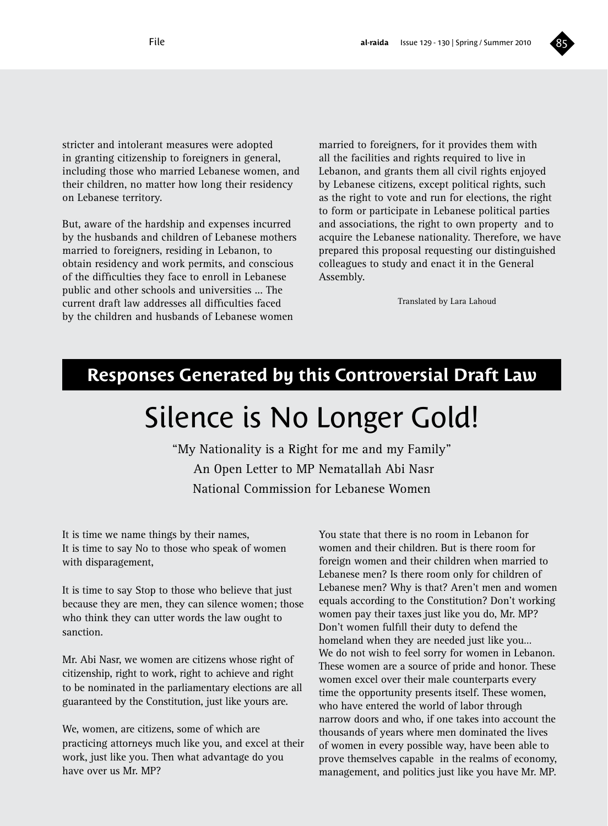

stricter and intolerant measures were adopted in granting citizenship to foreigners in general, including those who married Lebanese women, and their children, no matter how long their residency on Lebanese territory.

But, aware of the hardship and expenses incurred by the husbands and children of Lebanese mothers married to foreigners, residing in Lebanon, to obtain residency and work permits, and conscious of the difficulties they face to enroll in Lebanese public and other schools and universities ... The current draft law addresses all difficulties faced by the children and husbands of Lebanese women

married to foreigners, for it provides them with all the facilities and rights required to live in Lebanon, and grants them all civil rights enjoyed by Lebanese citizens, except political rights, such as the right to vote and run for elections, the right to form or participate in Lebanese political parties and associations, the right to own property and to acquire the Lebanese nationality. Therefore, we have prepared this proposal requesting our distinguished colleagues to study and enact it in the General Assembly.

Translated by Lara Lahoud

### **Responses Generated by this Controversial Draft Law**

## Silence is No Longer Gold!

"My Nationality is a Right for me and my Family" An Open Letter to MP Nematallah Abi Nasr National Commission for Lebanese Women

It is time we name things by their names, It is time to say No to those who speak of women with disparagement,

It is time to say Stop to those who believe that just because they are men, they can silence women; those who think they can utter words the law ought to sanction.

Mr. Abi Nasr, we women are citizens whose right of citizenship, right to work, right to achieve and right to be nominated in the parliamentary elections are all guaranteed by the Constitution, just like yours are.

We, women, are citizens, some of which are practicing attorneys much like you, and excel at their work, just like you. Then what advantage do you have over us Mr. MP?

You state that there is no room in Lebanon for women and their children. But is there room for foreign women and their children when married to Lebanese men? Is there room only for children of Lebanese men? Why is that? Aren't men and women equals according to the Constitution? Don't working women pay their taxes just like you do, Mr. MP? Don't women fulfill their duty to defend the homeland when they are needed just like you… We do not wish to feel sorry for women in Lebanon. These women are a source of pride and honor. These women excel over their male counterparts every time the opportunity presents itself. These women, who have entered the world of labor through narrow doors and who, if one takes into account the thousands of years where men dominated the lives of women in every possible way, have been able to prove themselves capable in the realms of economy, management, and politics just like you have Mr. MP.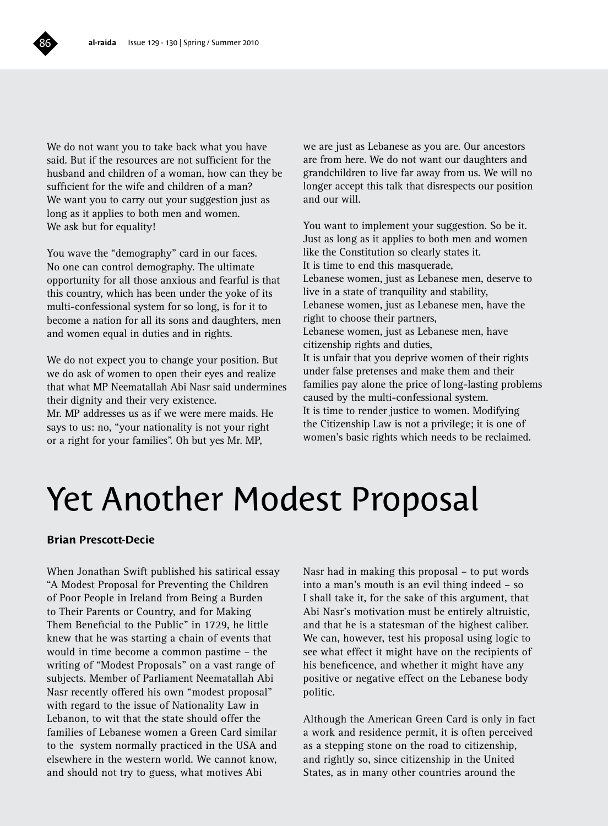

We do not want you to take back what you have said. But if the resources are not sufficient for the husband and children of a woman, how can they be sufficient for the wife and children of a man? We want you to carry out your suggestion just as long as it applies to both men and women. We ask but for equality!

You wave the "demography" card in our faces. No one can control demography. The ultimate opportunity for all those anxious and fearful is that this country, which has been under the yoke of its multi-confessional system for so long, is for it to become a nation for all its sons and daughters, men and women equal in duties and in rights.

We do not expect you to change your position. But we do ask of women to open their eyes and realize that what MP Neematallah Abi Nasr said undermines their dignity and their very existence. Mr. MP addresses us as if we were mere maids. He says to us: no, "your nationality is not your right or a right for your families". Oh but yes Mr. MP,

we are just as Lebanese as you are. Our ancestors are from here. We do not want our daughters and grandchildren to live far away from us. We will no longer accept this talk that disrespects our position and our will.

You want to implement your suggestion. So be it. Just as long as it applies to both men and women like the Constitution so clearly states it. It is time to end this masquerade, Lebanese women, just as Lebanese men, deserve to live in a state of tranquility and stability. Lebanese women, just as Lebanese men, have the right to choose their partners, Lebanese women, just as Lebanese men, have citizenship rights and duties, It is unfair that you deprive women of their rights under false pretenses and make them and their families pay alone the price of long-lasting problems caused by the multi-confessional system. It is time to render justice to women. Modifying the Citizenship Law is not a privilege; it is one of women's basic rights which needs to be reclaimed.

## Yet Another Modest Proposal

#### **Brian Prescott-Decie**

When Jonathan Swift published his satirical essay "A Modest Proposal for Preventing the Children of Poor People in Ireland from Being a Burden to Their Parents or Country, and for Making Them Beneficial to the Public" in 1729, he little knew that he was starting a chain of events that would in time become a common pastime – the writing of "Modest Proposals" on a vast range of subjects. Member of Parliament Neematallah Abi Nasr recently offered his own "modest proposal" with regard to the issue of Nationality Law in Lebanon, to wit that the state should offer the families of Lebanese women a Green Card similar to the system normally practiced in the USA and elsewhere in the western world. We cannot know, and should not try to guess, what motives Abi

Nasr had in making this proposal – to put words into a man's mouth is an evil thing indeed – so I shall take it, for the sake of this argument, that Abi Nasr's motivation must be entirely altruistic, and that he is a statesman of the highest caliber. We can, however, test his proposal using logic to see what effect it might have on the recipients of his beneficence, and whether it might have any positive or negative effect on the Lebanese body politic.

Although the American Green Card is only in fact a work and residence permit, it is often perceived as a stepping stone on the road to citizenship, and rightly so, since citizenship in the United States, as in many other countries around the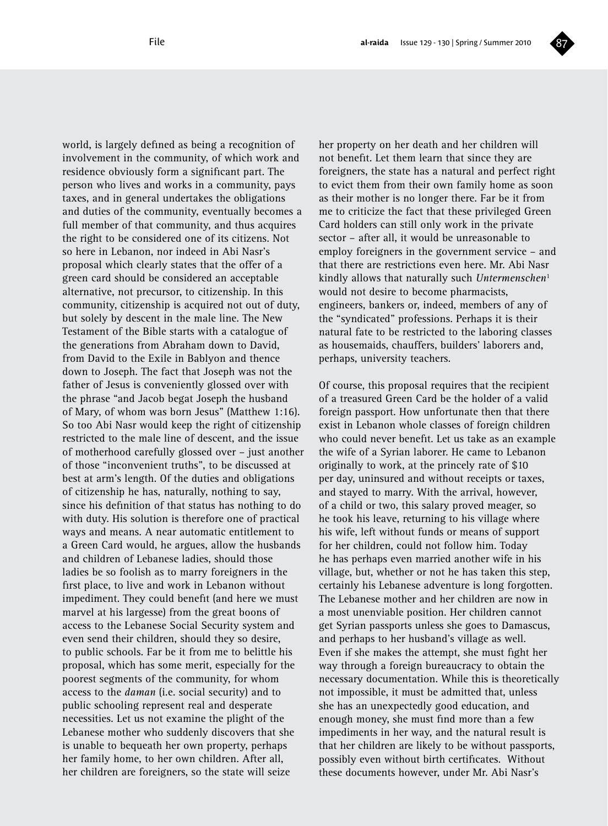

world, is largely defined as being a recognition of involvement in the community, of which work and residence obviously form a significant part. The person who lives and works in a community, pays taxes, and in general undertakes the obligations and duties of the community, eventually becomes a full member of that community, and thus acquires the right to be considered one of its citizens. Not so here in Lebanon, nor indeed in Abi Nasr's proposal which clearly states that the offer of a green card should be considered an acceptable alternative, not precursor, to citizenship. In this community, citizenship is acquired not out of duty, but solely by descent in the male line. The New Testament of the Bible starts with a catalogue of the generations from Abraham down to David, from David to the Exile in Bablyon and thence down to Joseph. The fact that Joseph was not the father of Jesus is conveniently glossed over with the phrase "and Jacob begat Joseph the husband of Mary, of whom was born Jesus" (Matthew 1:16). So too Abi Nasr would keep the right of citizenship restricted to the male line of descent, and the issue of motherhood carefully glossed over – just another of those "inconvenient truths", to be discussed at best at arm's length. Of the duties and obligations of citizenship he has, naturally, nothing to say, since his definition of that status has nothing to do with duty. His solution is therefore one of practical ways and means. A near automatic entitlement to a Green Card would, he argues, allow the husbands and children of Lebanese ladies, should those ladies be so foolish as to marry foreigners in the first place, to live and work in Lebanon without impediment. They could benefit (and here we must marvel at his largesse) from the great boons of access to the Lebanese Social Security system and even send their children, should they so desire, to public schools. Far be it from me to belittle his proposal, which has some merit, especially for the poorest segments of the community, for whom access to the *daman* (i.e. social security) and to public schooling represent real and desperate necessities. Let us not examine the plight of the Lebanese mother who suddenly discovers that she is unable to bequeath her own property, perhaps her family home, to her own children. After all, her children are foreigners, so the state will seize

her property on her death and her children will not benefit. Let them learn that since they are foreigners, the state has a natural and perfect right to evict them from their own family home as soon as their mother is no longer there. Far be it from me to criticize the fact that these privileged Green Card holders can still only work in the private sector – after all, it would be unreasonable to employ foreigners in the government service – and that there are restrictions even here. Mr. Abi Nasr kindly allows that naturally such *Untermenschen*<sup>1</sup> would not desire to become pharmacists, engineers, bankers or, indeed, members of any of the "syndicated" professions. Perhaps it is their natural fate to be restricted to the laboring classes as housemaids, chauffers, builders' laborers and, perhaps, university teachers.

Of course, this proposal requires that the recipient of a treasured Green Card be the holder of a valid foreign passport. How unfortunate then that there exist in Lebanon whole classes of foreign children who could never benefit. Let us take as an example the wife of a Syrian laborer. He came to Lebanon originally to work, at the princely rate of \$10 per day, uninsured and without receipts or taxes, and stayed to marry. With the arrival, however, of a child or two, this salary proved meager, so he took his leave, returning to his village where his wife, left without funds or means of support for her children, could not follow him. Today he has perhaps even married another wife in his village, but, whether or not he has taken this step, certainly his Lebanese adventure is long forgotten. The Lebanese mother and her children are now in a most unenviable position. Her children cannot get Syrian passports unless she goes to Damascus, and perhaps to her husband's village as well. Even if she makes the attempt, she must fight her way through a foreign bureaucracy to obtain the necessary documentation. While this is theoretically not impossible, it must be admitted that, unless she has an unexpectedly good education, and enough money, she must find more than a few impediments in her way, and the natural result is that her children are likely to be without passports, possibly even without birth certificates. Without these documents however, under Mr. Abi Nasr's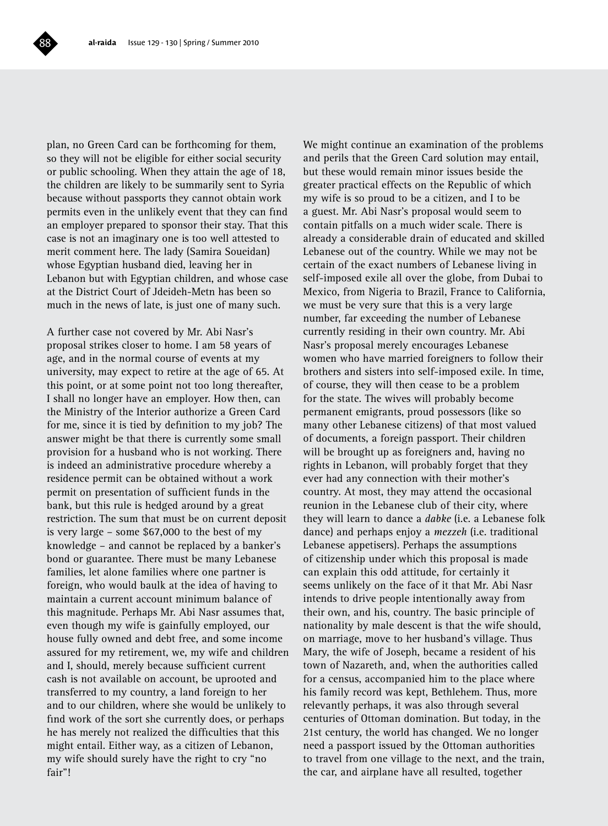plan, no Green Card can be forthcoming for them, so they will not be eligible for either social security or public schooling. When they attain the age of 18, the children are likely to be summarily sent to Syria because without passports they cannot obtain work permits even in the unlikely event that they can find an employer prepared to sponsor their stay. That this case is not an imaginary one is too well attested to merit comment here. The lady (Samira Soueidan) whose Egyptian husband died, leaving her in Lebanon but with Egyptian children, and whose case at the District Court of Jdeideh-Metn has been so much in the news of late, is just one of many such.

A further case not covered by Mr. Abi Nasr's proposal strikes closer to home. I am 58 years of age, and in the normal course of events at my university, may expect to retire at the age of 65. At this point, or at some point not too long thereafter, I shall no longer have an employer. How then, can the Ministry of the Interior authorize a Green Card for me, since it is tied by definition to my job? The answer might be that there is currently some small provision for a husband who is not working. There is indeed an administrative procedure whereby a residence permit can be obtained without a work permit on presentation of sufficient funds in the bank, but this rule is hedged around by a great restriction. The sum that must be on current deposit is very large – some \$67,000 to the best of my knowledge – and cannot be replaced by a banker's bond or guarantee. There must be many Lebanese families, let alone families where one partner is foreign, who would baulk at the idea of having to maintain a current account minimum balance of this magnitude. Perhaps Mr. Abi Nasr assumes that, even though my wife is gainfully employed, our house fully owned and debt free, and some income assured for my retirement, we, my wife and children and I, should, merely because sufficient current cash is not available on account, be uprooted and transferred to my country, a land foreign to her and to our children, where she would be unlikely to find work of the sort she currently does, or perhaps he has merely not realized the difficulties that this might entail. Either way, as a citizen of Lebanon, my wife should surely have the right to cry "no fair"!

We might continue an examination of the problems and perils that the Green Card solution may entail, but these would remain minor issues beside the greater practical effects on the Republic of which my wife is so proud to be a citizen, and I to be a guest. Mr. Abi Nasr's proposal would seem to contain pitfalls on a much wider scale. There is already a considerable drain of educated and skilled Lebanese out of the country. While we may not be certain of the exact numbers of Lebanese living in self-imposed exile all over the globe, from Dubai to Mexico, from Nigeria to Brazil, France to California, we must be very sure that this is a very large number, far exceeding the number of Lebanese currently residing in their own country. Mr. Abi Nasr's proposal merely encourages Lebanese women who have married foreigners to follow their brothers and sisters into self-imposed exile. In time, of course, they will then cease to be a problem for the state. The wives will probably become permanent emigrants, proud possessors (like so many other Lebanese citizens) of that most valued of documents, a foreign passport. Their children will be brought up as foreigners and, having no rights in Lebanon, will probably forget that they ever had any connection with their mother's country. At most, they may attend the occasional reunion in the Lebanese club of their city, where they will learn to dance a *dabke* (i.e. a Lebanese folk dance) and perhaps enjoy a *mezzeh* (i.e. traditional Lebanese appetisers). Perhaps the assumptions of citizenship under which this proposal is made can explain this odd attitude, for certainly it seems unlikely on the face of it that Mr. Abi Nasr intends to drive people intentionally away from their own, and his, country. The basic principle of nationality by male descent is that the wife should, on marriage, move to her husband's village. Thus Mary, the wife of Joseph, became a resident of his town of Nazareth, and, when the authorities called for a census, accompanied him to the place where his family record was kept, Bethlehem. Thus, more relevantly perhaps, it was also through several centuries of Ottoman domination. But today, in the 21st century, the world has changed. We no longer need a passport issued by the Ottoman authorities to travel from one village to the next, and the train, the car, and airplane have all resulted, together

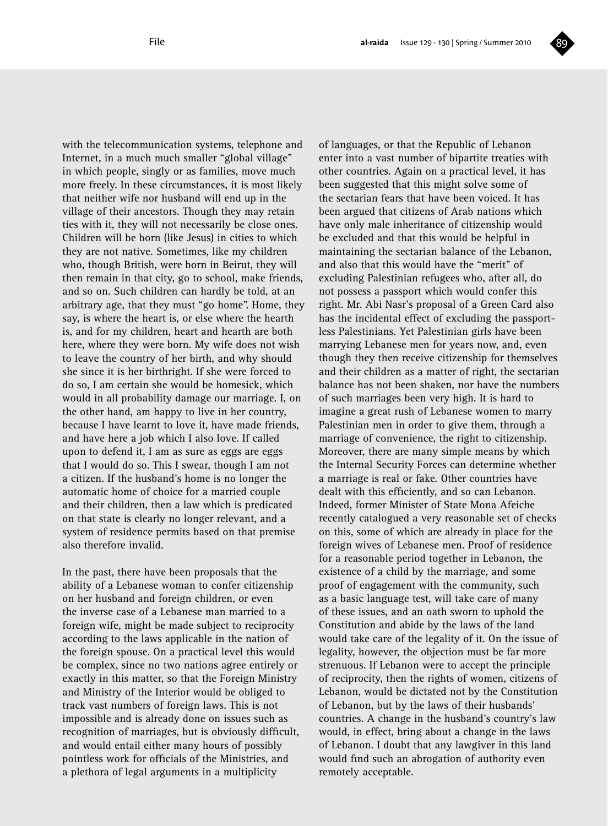

with the telecommunication systems, telephone and Internet, in a much much smaller "global village" in which people, singly or as families, move much more freely. In these circumstances, it is most likely that neither wife nor husband will end up in the village of their ancestors. Though they may retain ties with it, they will not necessarily be close ones. Children will be born (like Jesus) in cities to which they are not native. Sometimes, like my children who, though British, were born in Beirut, they will then remain in that city, go to school, make friends, and so on. Such children can hardly be told, at an arbitrary age, that they must "go home". Home, they say, is where the heart is, or else where the hearth is, and for my children, heart and hearth are both here, where they were born. My wife does not wish to leave the country of her birth, and why should she since it is her birthright. If she were forced to do so, I am certain she would be homesick, which would in all probability damage our marriage. I, on the other hand, am happy to live in her country, because I have learnt to love it, have made friends, and have here a job which I also love. If called upon to defend it, I am as sure as eggs are eggs that I would do so. This I swear, though I am not a citizen. If the husband's home is no longer the automatic home of choice for a married couple and their children, then a law which is predicated on that state is clearly no longer relevant, and a system of residence permits based on that premise also therefore invalid.

In the past, there have been proposals that the ability of a Lebanese woman to confer citizenship on her husband and foreign children, or even the inverse case of a Lebanese man married to a foreign wife, might be made subject to reciprocity according to the laws applicable in the nation of the foreign spouse. On a practical level this would be complex, since no two nations agree entirely or exactly in this matter, so that the Foreign Ministry and Ministry of the Interior would be obliged to track vast numbers of foreign laws. This is not impossible and is already done on issues such as recognition of marriages, but is obviously difficult, and would entail either many hours of possibly pointless work for officials of the Ministries, and a plethora of legal arguments in a multiplicity

of languages, or that the Republic of Lebanon enter into a vast number of bipartite treaties with other countries. Again on a practical level, it has been suggested that this might solve some of the sectarian fears that have been voiced. It has been argued that citizens of Arab nations which have only male inheritance of citizenship would be excluded and that this would be helpful in maintaining the sectarian balance of the Lebanon, and also that this would have the "merit" of excluding Palestinian refugees who, after all, do not possess a passport which would confer this right. Mr. Abi Nasr's proposal of a Green Card also has the incidental effect of excluding the passportless Palestinians. Yet Palestinian girls have been marrying Lebanese men for years now, and, even though they then receive citizenship for themselves and their children as a matter of right, the sectarian balance has not been shaken, nor have the numbers of such marriages been very high. It is hard to imagine a great rush of Lebanese women to marry Palestinian men in order to give them, through a marriage of convenience, the right to citizenship. Moreover, there are many simple means by which the Internal Security Forces can determine whether a marriage is real or fake. Other countries have dealt with this efficiently, and so can Lebanon. Indeed, former Minister of State Mona Afeiche recently catalogued a very reasonable set of checks on this, some of which are already in place for the foreign wives of Lebanese men. Proof of residence for a reasonable period together in Lebanon, the existence of a child by the marriage, and some proof of engagement with the community, such as a basic language test, will take care of many of these issues, and an oath sworn to uphold the Constitution and abide by the laws of the land would take care of the legality of it. On the issue of legality, however, the objection must be far more strenuous. If Lebanon were to accept the principle of reciprocity, then the rights of women, citizens of Lebanon, would be dictated not by the Constitution of Lebanon, but by the laws of their husbands' countries. A change in the husband's country's law would, in effect, bring about a change in the laws of Lebanon. I doubt that any lawgiver in this land would find such an abrogation of authority even remotely acceptable.